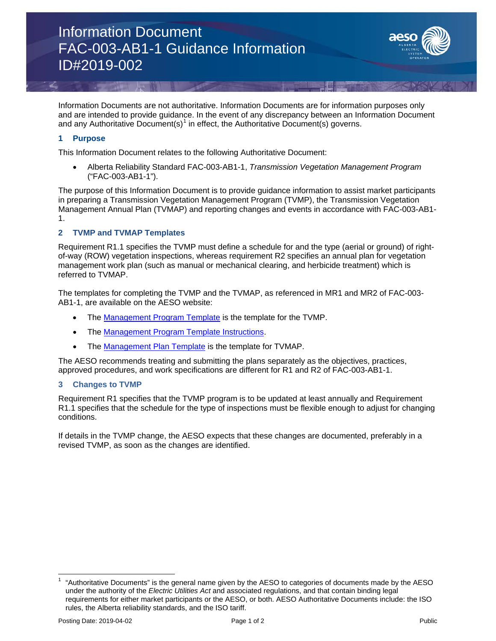# Information Document FAC-003-AB1-1 Guidance Information ID#2019-002

Information Documents are not authoritative. Information Documents are for information purposes only and are intended to provide guidance. In the event of any discrepancy between an Information Document and any Authoritative Document(s)<sup>[1](#page-0-0)</sup> in effect, the Authoritative Document(s) governs.

# **1 Purpose**

This Information Document relates to the following Authoritative Document:

• Alberta Reliability Standard FAC-003-AB1-1, *Transmission Vegetation Management Program*  ("FAC-003-AB1-1").

The purpose of this Information Document is to provide guidance information to assist market participants in preparing a Transmission Vegetation Management Program (TVMP), the Transmission Vegetation Management Annual Plan (TVMAP) and reporting changes and events in accordance with FAC-003-AB1- 1.

## **2 TVMP and TVMAP Templates**

Requirement R1.1 specifies the TVMP must define a schedule for and the type (aerial or ground) of rightof-way (ROW) vegetation inspections, whereas requirement R2 specifies an annual plan for vegetation management work plan (such as manual or mechanical clearing, and herbicide treatment) which is referred to TVMAP.

The templates for completing the TVMP and the TVMAP, as referenced in MR1 and MR2 of FAC-003- AB1-1, are available on the AESO website:

- The [Management Program Template](https://www.aeso.ca/assets/linkfiles/FAC-003-AB-1-Management-Program-Template.doc) is the template for the TVMP.
- The [Management Program Template Instructions.](https://www.aeso.ca/assets/downloads/FAC-003-AB-1-Management-Program-Template-Instructions.doc)
- The [Management Plan Template](https://www.aeso.ca/assets/linkfiles/FAC-003-AB-1-Management-Plan-Template.doc) is the template for TVMAP.

The AESO recommends treating and submitting the plans separately as the objectives, practices, approved procedures, and work specifications are different for R1 and R2 of FAC-003-AB1-1.

## **3 Changes to TVMP**

Requirement R1 specifies that the TVMP program is to be updated at least annually and Requirement R1.1 specifies that the schedule for the type of inspections must be flexible enough to adjust for changing conditions.

If details in the TVMP change, the AESO expects that these changes are documented, preferably in a revised TVMP, as soon as the changes are identified.

<span id="page-0-0"></span><sup>1</sup> "Authoritative Documents" is the general name given by the AESO to categories of documents made by the AESO under the authority of the *Electric Utilities Act* and associated regulations, and that contain binding legal requirements for either market participants or the AESO, or both. AESO Authoritative Documents include: the ISO rules, the Alberta reliability standards, and the ISO tariff.